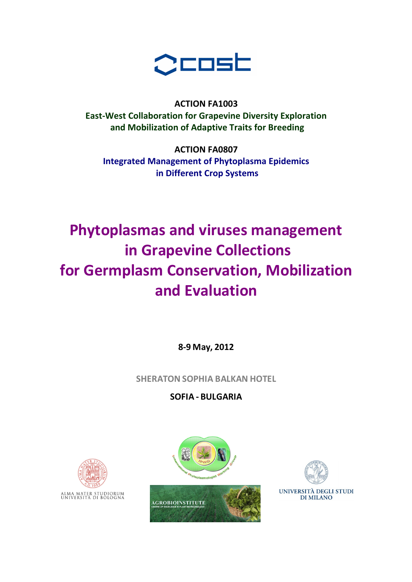

**ACTION FA1003 East‐West Collaboration for Grapevine Diversity Exploration and Mobilization of Adaptive Traits for Breeding**

**ACTION FA0807 Integrated Management of Phytoplasma Epidemics in Different Crop Systems**

## **Phytoplasmas and viruses management in Grapevine Collections for Germplasm Conservation, Mobilization and Evaluation**

**8‐9 May, 2012**

**SHERATON SOPHIA BALKAN HOTEL**

**SOFIA ‐ BULGARIA**







DI MILANO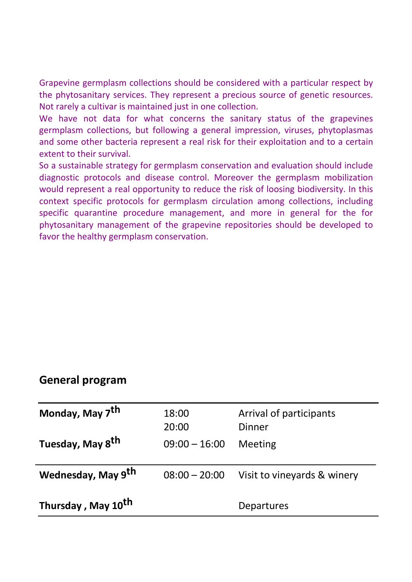Grapevine germplasm collections should be considered with a particular respect by the phytosanitary services. They represent a precious source of genetic resources. Not rarely a cultivar is maintained just in one collection.

We have not data for what concerns the sanitary status of the grapevines germplasm collections, but following a general impression, viruses, phytoplasmas and some other bacteria represent a real risk for their exploitation and to a certain extent to their survival.

So a sustainable strategy for germplasm conservation and evaluation should include diagnostic protocols and disease control. Moreover the germplasm mobilization would represent a real opportunity to reduce the risk of loosing biodiversity. In this context specific protocols for germplasm circulation among collections, including specific quarantine procedure management, and more in general for the for phytosanitary management of the grapevine repositories should be developed to favor the healthy germplasm conservation.

## **General program**

| Monday, May 7 <sup>th</sup>    | 18:00<br>20:00  | Arrival of participants<br>Dinner |
|--------------------------------|-----------------|-----------------------------------|
| Tuesday, May 8 <sup>th</sup>   | $09:00 - 16:00$ | <b>Meeting</b>                    |
| Wednesday, May 9 <sup>th</sup> | $08:00 - 20:00$ | Visit to vineyards & winery       |
| Thursday, May 10 <sup>th</sup> |                 | Departures                        |